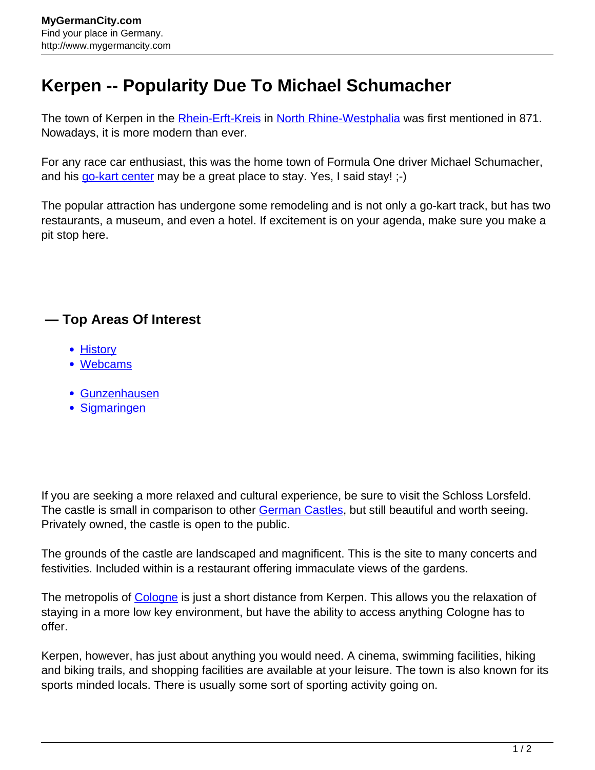## **Kerpen -- Popularity Due To Michael Schumacher**

The town of Kerpen in the **Rhein-Erft-Kreis** in [North Rhine-Westphalia](http://www.mygermancity.com/north-rhine-westphalia) was first mentioned in 871. Nowadays, it is more modern than ever.

For any race car enthusiast, this was the home town of Formula One driver Michael Schumacher, and his [go-kart center](http://www.mygermancity.com/kerpen-webcams) may be a great place to stay. Yes, I said stay! :-)

The popular attraction has undergone some remodeling and is not only a go-kart track, but has two restaurants, a museum, and even a hotel. If excitement is on your agenda, make sure you make a pit stop here.

## **— Top Areas Of Interest**

- [History](http://www.mygermancity.com/leipzig-history)
- [Webcams](http://www.mygermancity.com/neustadt-holstein-webcams)
- [Gunzenhausen](http://www.mygermancity.com/gunzenhausen)
- [Sigmaringen](http://www.mygermancity.com/sigmaringen)

If you are seeking a more relaxed and cultural experience, be sure to visit the Schloss Lorsfeld. The castle is small in comparison to other [German Castles](http://www.mygermancity.com/german-castles), but still beautiful and worth seeing. Privately owned, the castle is open to the public.

The grounds of the castle are landscaped and magnificent. This is the site to many concerts and festivities. Included within is a restaurant offering immaculate views of the gardens.

The metropolis of [Cologne](http://www.mygermancity.com/cologne) is just a short distance from Kerpen. This allows you the relaxation of staying in a more low key environment, but have the ability to access anything Cologne has to offer.

Kerpen, however, has just about anything you would need. A cinema, swimming facilities, hiking and biking trails, and shopping facilities are available at your leisure. The town is also known for its sports minded locals. There is usually some sort of sporting activity going on.